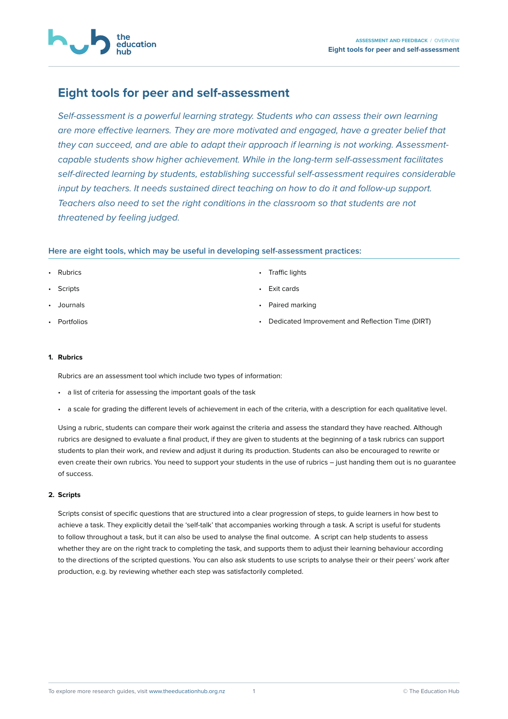# **Eight tools for peer and self-assessment**

education

*Self-assessment is a powerful learning strategy. Students who can assess their own learning are more effective learners. They are more motivated and engaged, have a greater belief that they can succeed, and are able to adapt their approach if learning is not working. Assessmentcapable students show higher achievement. While in the long-term self-assessment facilitates self-directed learning by students, establishing successful self-assessment requires considerable input by teachers. It needs sustained direct teaching on how to do it and follow-up support. Teachers also need to set the right conditions in the classroom so that students are not threatened by feeling judged.* 

# **Here are eight tools, which may be useful in developing self-assessment practices:**

- Rubrics
- **Scripts**
- [Journals](#page-1-0)
- [Portfolios](#page-1-0)
- [Traffic lights](#page-2-0)
- [Exit cards](#page-2-0)
- [Paired marking](#page-3-0)
- [Dedicated Improvement and Reflection Time \(DIRT\)](#page-3-0)

#### **1. Rubrics**

Rubrics are an assessment tool which include two types of information:

- a list of criteria for assessing the important goals of the task
- a scale for grading the different levels of achievement in each of the criteria, with a description for each qualitative level.

Using a rubric, students can compare their work against the criteria and assess the standard they have reached. Although rubrics are designed to evaluate a final product, if they are given to students at the beginning of a task rubrics can support students to plan their work, and review and adjust it during its production. Students can also be encouraged to rewrite or even create their own rubrics. You need to support your students in the use of rubrics – just handing them out is no guarantee of success.

## **2. Scripts**

Scripts consist of specific questions that are structured into a clear progression of steps, to guide learners in how best to achieve a task. They explicitly detail the 'self-talk' that accompanies working through a task. A script is useful for students to follow throughout a task, but it can also be used to analyse the final outcome. A script can help students to assess whether they are on the right track to completing the task, and supports them to adjust their learning behaviour according to the directions of the scripted questions. You can also ask students to use scripts to analyse their or their peers' work after production, e.g. by reviewing whether each step was satisfactorily completed.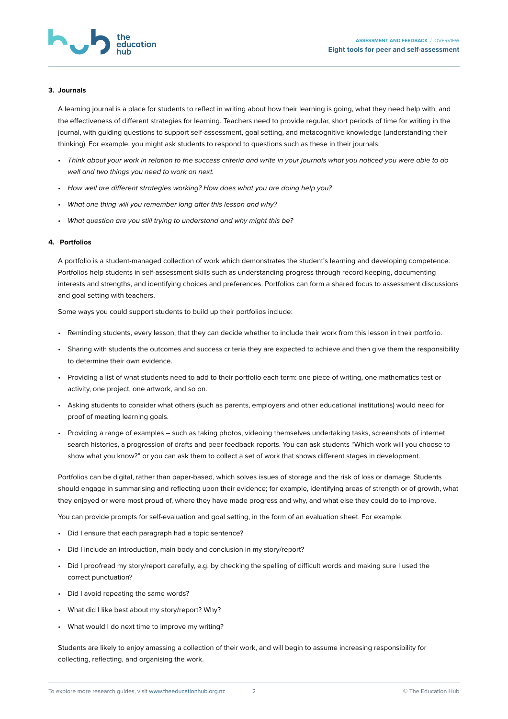<span id="page-1-0"></span>

#### **3. Journals**

A learning journal is a place for students to reflect in writing about how their learning is going, what they need help with, and the effectiveness of different strategies for learning. Teachers need to provide regular, short periods of time for writing in the journal, with quiding questions to support self-assessment, goal setting, and metacognitive knowledge (understanding their thinking). For example, you might ask students to respond to questions such as these in their journals:

- *• Think about your work in relation to the success criteria and write in your journals what you noticed you were able to do well and two things you need to work on next.*
- *• How well are different strategies working? How does what you are doing help you?*
- *• What one thing will you remember long after this lesson and why?*
- *• What question are you still trying to understand and why might this be?*

#### **4. Portfolios**

A portfolio is a student-managed collection of work which demonstrates the student's learning and developing competence. Portfolios help students in self-assessment skills such as understanding progress through record keeping, documenting interests and strengths, and identifying choices and preferences. Portfolios can form a shared focus to assessment discussions and goal setting with teachers.

Some ways you could support students to build up their portfolios include:

- Reminding students, every lesson, that they can decide whether to include their work from this lesson in their portfolio.
- Sharing with students the outcomes and success criteria they are expected to achieve and then give them the responsibility to determine their own evidence.
- Providing a list of what students need to add to their portfolio each term: one piece of writing, one mathematics test or activity, one project, one artwork, and so on.
- Asking students to consider what others (such as parents, employers and other educational institutions) would need for proof of meeting learning goals.
- Providing a range of examples such as taking photos, videoing themselves undertaking tasks, screenshots of internet search histories, a progression of drafts and peer feedback reports. You can ask students "Which work will you choose to show what you know?" or you can ask them to collect a set of work that shows different stages in development.

Portfolios can be digital, rather than paper-based, which solves issues of storage and the risk of loss or damage. Students should engage in summarising and reflecting upon their evidence; for example, identifying areas of strength or of growth, what they enjoyed or were most proud of, where they have made progress and why, and what else they could do to improve.

You can provide prompts for self-evaluation and goal setting, in the form of an evaluation sheet. For example:

- Did I ensure that each paragraph had a topic sentence?
- Did I include an introduction, main body and conclusion in my story/report?
- Did I proofread my story/report carefully, e.g. by checking the spelling of difficult words and making sure I used the correct punctuation?
- Did I avoid repeating the same words?
- What did I like best about my story/report? Why?
- What would I do next time to improve my writing?

Students are likely to enjoy amassing a collection of their work, and will begin to assume increasing responsibility for collecting, reflecting, and organising the work.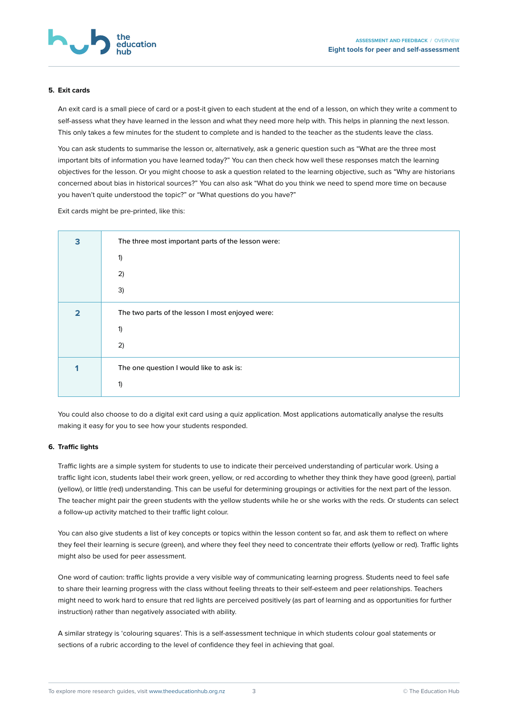<span id="page-2-0"></span>

#### **5. Exit cards**

An exit card is a small piece of card or a post-it given to each student at the end of a lesson, on which they write a comment to self-assess what they have learned in the lesson and what they need more help with. This helps in planning the next lesson. This only takes a few minutes for the student to complete and is handed to the teacher as the students leave the class.

You can ask students to summarise the lesson or, alternatively, ask a generic question such as "What are the three most important bits of information you have learned today?" You can then check how well these responses match the learning objectives for the lesson. Or you might choose to ask a question related to the learning objective, such as "Why are historians concerned about bias in historical sources?" You can also ask "What do you think we need to spend more time on because you haven't quite understood the topic?" or "What questions do you have?"

Exit cards might be pre-printed, like this:

| 3 | The three most important parts of the lesson were: |
|---|----------------------------------------------------|
|   | 1)                                                 |
|   | 2)                                                 |
|   | 3)                                                 |
| っ | The two parts of the lesson I most enjoyed were:   |
|   | 1)                                                 |
|   | 2)                                                 |
|   | The one question I would like to ask is:           |
|   | 1)                                                 |

You could also choose to do a digital exit card using a quiz application. Most applications automatically analyse the results making it easy for you to see how your students responded.

## **6. Traffic lights**

Traffic lights are a simple system for students to use to indicate their perceived understanding of particular work. Using a traffic light icon, students label their work green, yellow, or red according to whether they think they have good (green), partial (yellow), or little (red) understanding. This can be useful for determining groupings or activities for the next part of the lesson. The teacher might pair the green students with the yellow students while he or she works with the reds. Or students can select a follow-up activity matched to their traffic light colour.

You can also give students a list of key concepts or topics within the lesson content so far, and ask them to reflect on where they feel their learning is secure (green), and where they feel they need to concentrate their efforts (yellow or red). Traffic lights might also be used for peer assessment.

One word of caution: traffic lights provide a very visible way of communicating learning progress. Students need to feel safe to share their learning progress with the class without feeling threats to their self-esteem and peer relationships. Teachers might need to work hard to ensure that red lights are perceived positively (as part of learning and as opportunities for further instruction) rather than negatively associated with ability.

A similar strategy is 'colouring squares'. This is a self-assessment technique in which students colour goal statements or sections of a rubric according to the level of confidence they feel in achieving that goal.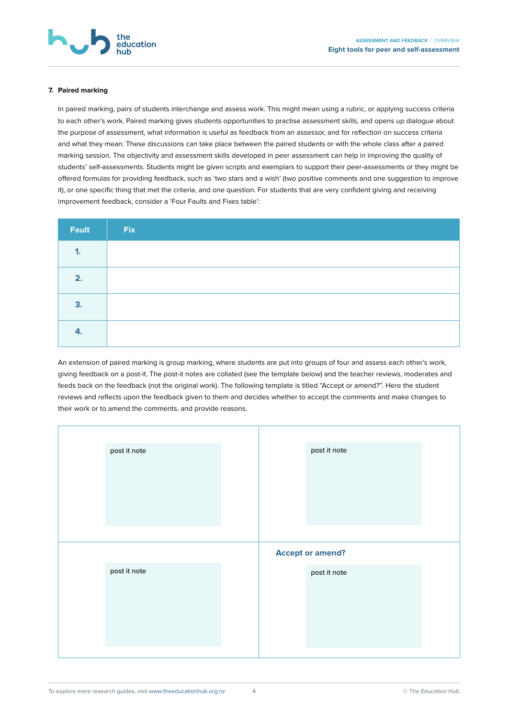<span id="page-3-0"></span>

#### **7. Paired marking**

In paired marking, pairs of students interchange and assess work. This might mean using a rubric, or applying success criteria to each other's work. Paired marking gives students opportunities to practise assessment skills, and opens up dialogue about the purpose of assessment, what information is useful as feedback from an assessor, and for reflection on success criteria and what they mean. These discussions can take place between the paired students or with the whole class after a paired marking session. The objectivity and assessment skills developed in peer assessment can help in improving the quality of students' self-assessments. Students might be given scripts and exemplars to support their peer-assessments or they might be offered formulas for providing feedback, such as 'two stars and a wish' (two positive comments and one suggestion to improve it), or one specific thing that met the criteria, and one question. For students that are very confident giving and receiving improvement feedback, consider a 'Four Faults and Fixes table':

| Fault        | Fix |
|--------------|-----|
| $\mathbf{1}$ |     |
| 2.           |     |
| 3.           |     |
| 4.           |     |

An extension of paired marking is group marking, where students are put into groups of four and assess each other's work, giving feedback on a post-it. The post-it notes are collated (see the template below) and the teacher reviews, moderates and feeds back on the feedback (not the original work). The following template is titled "Accept or amend?". Here the student reviews and reflects upon the feedback given to them and decides whether to accept the comments and make changes to their work or to amend the comments, and provide reasons.

| post it note | post it note            |  |
|--------------|-------------------------|--|
|              |                         |  |
|              |                         |  |
|              |                         |  |
|              |                         |  |
|              |                         |  |
|              |                         |  |
|              | <b>Accept or amend?</b> |  |
| post it note | post it note            |  |
|              |                         |  |
|              |                         |  |
|              |                         |  |
|              |                         |  |